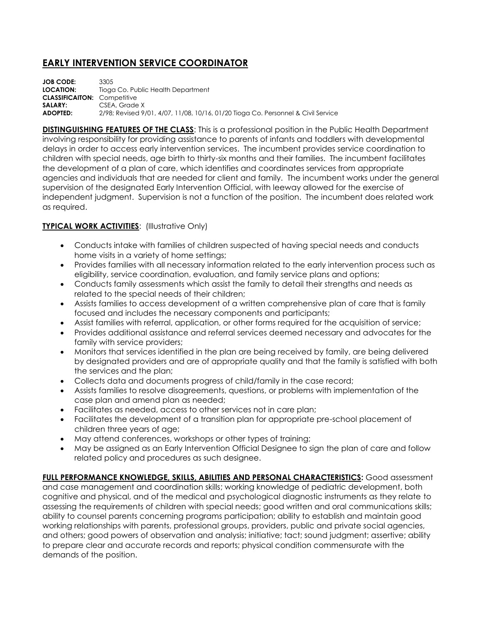## **EARLY INTERVENTION SERVICE COORDINATOR**

**JOB CODE:** 3305 **LOCATION:** Tioga Co. Public Health Department **CLASSIFICAITON:** Competitive SALARY: CSEA, Grade X **ADOPTED:** 2/98; Revised 9/01, 4/07, 11/08, 10/16, 01/20 Tioga Co. Personnel & Civil Service

**DISTINGUISHING FEATURES OF THE CLASS:** This is a professional position in the Public Health Department involving responsibility for providing assistance to parents of infants and toddlers with developmental delays in order to access early intervention services. The incumbent provides service coordination to children with special needs, age birth to thirty-six months and their families. The incumbent facilitates the development of a plan of care, which identifies and coordinates services from appropriate agencies and individuals that are needed for client and family. The incumbent works under the general supervision of the designated Early Intervention Official, with leeway allowed for the exercise of independent judgment. Supervision is not a function of the position. The incumbent does related work as required.

## **TYPICAL WORK ACTIVITIES: (Illustrative Only)**

- Conducts intake with families of children suspected of having special needs and conducts home visits in a variety of home settings;
- Provides families with all necessary information related to the early intervention process such as eligibility, service coordination, evaluation, and family service plans and options;
- Conducts family assessments which assist the family to detail their strengths and needs as related to the special needs of their children;
- Assists families to access development of a written comprehensive plan of care that is family focused and includes the necessary components and participants;
- Assist families with referral, application, or other forms required for the acquisition of service;
- Provides additional assistance and referral services deemed necessary and advocates for the family with service providers;
- Monitors that services identified in the plan are being received by family, are being delivered by designated providers and are of appropriate quality and that the family is satisfied with both the services and the plan;
- Collects data and documents progress of child/family in the case record;
- Assists families to resolve disagreements, questions, or problems with implementation of the case plan and amend plan as needed;
- Facilitates as needed, access to other services not in care plan;
- Facilitates the development of a transition plan for appropriate pre-school placement of children three years of age;
- May attend conferences, workshops or other types of training;
- May be assigned as an Early Intervention Official Designee to sign the plan of care and follow related policy and procedures as such designee.

**FULL PERFORMANCE KNOWLEDGE, SKILLS, ABILITIES AND PERSONAL CHARACTERISTICS:** Good assessment and case management and coordination skills; working knowledge of pediatric development, both cognitive and physical, and of the medical and psychological diagnostic instruments as they relate to assessing the requirements of children with special needs; good written and oral communications skills; ability to counsel parents concerning programs participation; ability to establish and maintain good working relationships with parents, professional groups, providers, public and private social agencies, and others; good powers of observation and analysis; initiative; tact; sound judgment; assertive; ability to prepare clear and accurate records and reports; physical condition commensurate with the demands of the position.